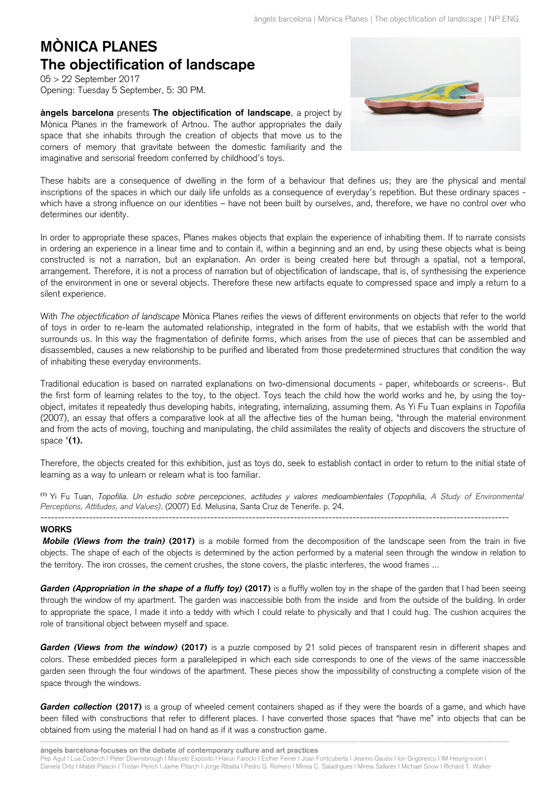## **MÒNICA PLANES The objectification of landscape**

05 > 22 September 2017 Opening: Tuesday 5 September, 5: 30 PM.

**àngels barcelona** presents **The objectification of landscape**, a project by Mònica Planes in the framework of Artnou. The author appropriates the daily space that she inhabits through the creation of objects that move us to the corners of memory that gravitate between the domestic familiarity and the imaginative and sensorial freedom conferred by childhood's toys.



These habits are a consequence of dwelling in the form of a behaviour that defines us; they are the physical and mental inscriptions of the spaces in which our daily life unfolds as a consequence of everyday's repetition. But these ordinary spaces which have a strong influence on our identities – have not been built by ourselves, and, therefore, we have no control over who determines our identity.

In order to appropriate these spaces, Planes makes objects that explain the experience of inhabiting them. If to narrate consists in ordering an experience in a linear time and to contain it, within a beginning and an end, by using these objects what is being constructed is not a narration, but an explanation. An order is being created here but through a spatial, not a temporal, arrangement. Therefore, it is not a process of narration but of objectification of landscape, that is, of synthesising the experience of the environment in one or several objects. Therefore these new artifacts equate to compressed space and imply a return to a silent experience.

With *The objectification of landscape* Mònica Planes reifies the views of different environments on objects that refer to the world of toys in order to re-learn the automated relationship, integrated in the form of habits, that we establish with the world that surrounds us. In this way the fragmentation of definite forms, which arises from the use of pieces that can be assembled and disassembled, causes a new relationship to be purified and liberated from those predetermined structures that condition the way of inhabiting these everyday environments.

Traditional education is based on narrated explanations on two-dimensional documents - paper, whiteboards or screens-. But the first form of learning relates to the toy, to the object. Toys teach the child how the world works and he, by using the toyobject, imitates it repeatedly thus developing habits, integrating, internalizing, assuming them. As Yi Fu Tuan explains in *Topofilia* (2007), an essay that offers a comparative look at all the affective ties of the human being, "through the material environment and from the acts of moving, touching and manipulating, the child assimilates the reality of objects and discovers the structure of space "**(1).**

Therefore, the objects created for this exhibition, just as toys do, seek to establish contact in order to return to the initial state of learning as a way to unlearn or relearn what is too familiar.

**(1)** Yi Fu Tuan, *Topofilia. Un estudio sobre percepciones, actitudes y valores medioambientales* (*Topophilia, A Study of Environmental Perceptions, Attitudes, and Values)*. (2007) Ed. Melusina, Santa Cruz de Tenerife. p. 24.

---------------------------------------------------------------------------------------------------------------------------------------

## **WORKS**

*Mobile (Views from the train)* **(2017)** is a mobile formed from the decomposition of the landscape seen from the train in five objects. The shape of each of the objects is determined by the action performed by a material seen through the window in relation to the territory. The iron crosses, the cement crushes, the stone covers, the plastic interferes, the wood frames ...

**Garden (Appropriation in the shape of a fluffy toy) (2017)** is a fluffly wollen toy in the shape of the garden that I had been seeing through the window of my apartment. The garden was inaccessible both from the inside and from the outside of the building. In order to appropriate the space, I made it into a teddy with which I could relate to physically and that I could hug. The cushion acquires the role of transitional object between myself and space.

*Garden (Views from the window)* **(2017)** is a puzzle composed by 21 solid pieces of transparent resin in different shapes and colors. These embedded pieces form a parallelepiped in which each side corresponds to one of the views of the same inaccessible garden seen through the four windows of the apartment. These pieces show the impossibility of constructing a complete vision of the space through the windows.

**Garden collection (2017)** is a group of wheeled cement containers shaped as if they were the boards of a game, and which have been filled with constructions that refer to different places. I have converted those spaces that "have me" into objects that can be obtained from using the material I had on hand as if it was a construction game.

------------------------------------------------------------------------------------------------------------------------------------------------------------------------ **àngels barcelona-focuses on the debate of contemporary culture and art practices**

Pep Agut I Lúa Coderch I Peter Downsbrough I Marcelo Expósito I Harun Farocki I Esther Ferrer I Joan Fontcuberta I Jeanno Gaussi I Ion Grigorescu I IM Heung-soon I Daniela Ortiz I Mabel Palacin I Tristan Perich I Jaime Pitarch I Jorge Ribalta I Pedro G. Romero I Mireia C. Saladrigues I Mireia Sallarès I Michael Snow I Richard T. Walker